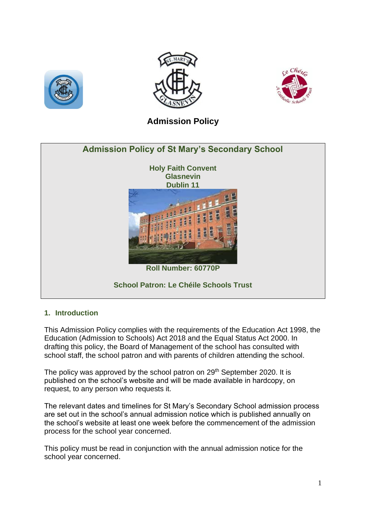





# **Admission Policy**



## **1. Introduction**

This Admission Policy complies with the requirements of the Education Act 1998, the Education (Admission to Schools) Act 2018 and the Equal Status Act 2000. In drafting this policy, the Board of Management of the school has consulted with school staff, the school patron and with parents of children attending the school.

The policy was approved by the school patron on 29<sup>th</sup> September 2020. It is published on the school's website and will be made available in hardcopy, on request, to any person who requests it.

The relevant dates and timelines for St Mary's Secondary School admission process are set out in the school's annual admission notice which is published annually on the school's website at least one week before the commencement of the admission process for the school year concerned.

This policy must be read in conjunction with the annual admission notice for the school year concerned.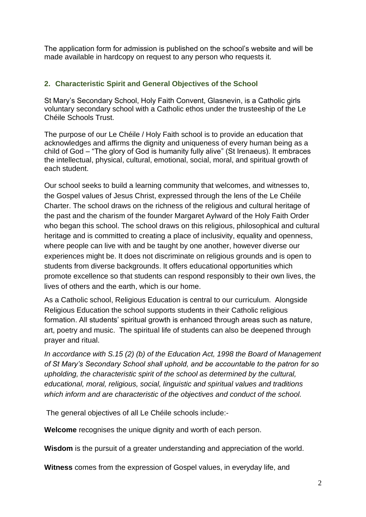The application form for admission is published on the school's website and will be made available in hardcopy on request to any person who requests it.

# **2. Characteristic Spirit and General Objectives of the School**

St Mary's Secondary School, Holy Faith Convent, Glasnevin, is a Catholic girls voluntary secondary school with a Catholic ethos under the trusteeship of the Le Chéile Schools Trust.

The purpose of our Le Chéile / Holy Faith school is to provide an education that acknowledges and affirms the dignity and uniqueness of every human being as a child of God – "The glory of God is humanity fully alive" (St Irenaeus). It embraces the intellectual, physical, cultural, emotional, social, moral, and spiritual growth of each student.

Our school seeks to build a learning community that welcomes, and witnesses to, the Gospel values of Jesus Christ, expressed through the lens of the Le Chéile Charter. The school draws on the richness of the religious and cultural heritage of the past and the charism of the founder Margaret Aylward of the Holy Faith Order who began this school. The school draws on this religious, philosophical and cultural heritage and is committed to creating a place of inclusivity, equality and openness, where people can live with and be taught by one another, however diverse our experiences might be. It does not discriminate on religious grounds and is open to students from diverse backgrounds. It offers educational opportunities which promote excellence so that students can respond responsibly to their own lives, the lives of others and the earth, which is our home.

As a Catholic school, Religious Education is central to our curriculum. Alongside Religious Education the school supports students in their Catholic religious formation. All students' spiritual growth is enhanced through areas such as nature, art, poetry and music. The spiritual life of students can also be deepened through prayer and ritual.

*In accordance with S.15 (2) (b) of the Education Act, 1998 the Board of Management of St Mary's Secondary School shall uphold, and be accountable to the patron for so upholding, the characteristic spirit of the school as determined by the cultural, educational, moral, religious, social, linguistic and spiritual values and traditions which inform and are characteristic of the objectives and conduct of the school.*

The general objectives of all Le Chéile schools include:-

**Welcome** recognises the unique dignity and worth of each person.

**Wisdom** is the pursuit of a greater understanding and appreciation of the world.

**Witness** comes from the expression of Gospel values, in everyday life, and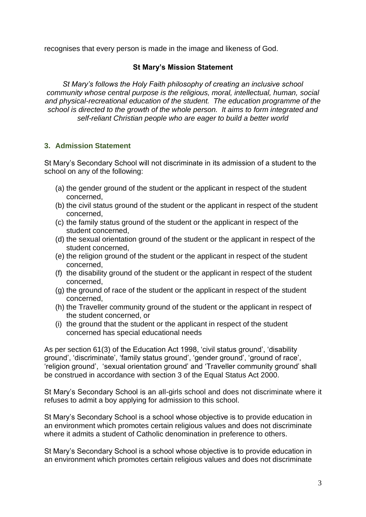recognises that every person is made in the image and likeness of God.

## **St Mary's Mission Statement**

*St Mary's follows the Holy Faith philosophy of creating an inclusive school community whose central purpose is the religious, moral, intellectual, human, social and physical-recreational education of the student. The education programme of the school is directed to the growth of the whole person. It aims to form integrated and self-reliant Christian people who are eager to build a better world*

# **3. Admission Statement**

St Mary's Secondary School will not discriminate in its admission of a student to the school on any of the following:

- (a) the gender ground of the student or the applicant in respect of the student concerned,
- (b) the civil status ground of the student or the applicant in respect of the student concerned,
- (c) the family status ground of the student or the applicant in respect of the student concerned,
- (d) the sexual orientation ground of the student or the applicant in respect of the student concerned,
- (e) the religion ground of the student or the applicant in respect of the student concerned,
- (f) the disability ground of the student or the applicant in respect of the student concerned,
- (g) the ground of race of the student or the applicant in respect of the student concerned,
- (h) the Traveller community ground of the student or the applicant in respect of the student concerned, or
- (i) the ground that the student or the applicant in respect of the student concerned has special educational needs

As per section 61(3) of the Education Act 1998, 'civil status ground', 'disability ground', 'discriminate', 'family status ground', 'gender ground', 'ground of race', 'religion ground', 'sexual orientation ground' and 'Traveller community ground' shall be construed in accordance with section 3 of the Equal Status Act 2000.

St Mary's Secondary School is an all-girls school and does not discriminate where it refuses to admit a boy applying for admission to this school.

St Mary's Secondary School is a school whose objective is to provide education in an environment which promotes certain religious values and does not discriminate where it admits a student of Catholic denomination in preference to others.

St Mary's Secondary School is a school whose objective is to provide education in an environment which promotes certain religious values and does not discriminate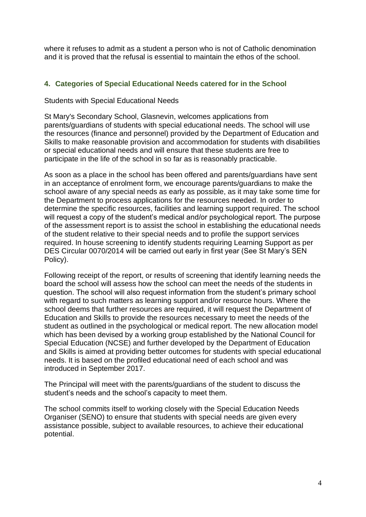where it refuses to admit as a student a person who is not of Catholic denomination and it is proved that the refusal is essential to maintain the ethos of the school.

# **4. Categories of Special Educational Needs catered for in the School**

Students with Special Educational Needs

St Mary's Secondary School, Glasnevin, welcomes applications from parents/guardians of students with special educational needs. The school will use the resources (finance and personnel) provided by the Department of Education and Skills to make reasonable provision and accommodation for students with disabilities or special educational needs and will ensure that these students are free to participate in the life of the school in so far as is reasonably practicable.

As soon as a place in the school has been offered and parents/guardians have sent in an acceptance of enrolment form, we encourage parents/guardians to make the school aware of any special needs as early as possible, as it may take some time for the Department to process applications for the resources needed. In order to determine the specific resources, facilities and learning support required. The school will request a copy of the student's medical and/or psychological report. The purpose of the assessment report is to assist the school in establishing the educational needs of the student relative to their special needs and to profile the support services required. In house screening to identify students requiring Learning Support as per DES Circular 0070/2014 will be carried out early in first year (See St Mary's SEN Policy).

Following receipt of the report, or results of screening that identify learning needs the board the school will assess how the school can meet the needs of the students in question. The school will also request information from the student's primary school with regard to such matters as learning support and/or resource hours. Where the school deems that further resources are required, it will request the Department of Education and Skills to provide the resources necessary to meet the needs of the student as outlined in the psychological or medical report. The new allocation model which has been devised by a working group established by the National Council for Special Education (NCSE) and further developed by the Department of Education and Skills is aimed at providing better outcomes for students with special educational needs. It is based on the profiled educational need of each school and was introduced in September 2017.

The Principal will meet with the parents/guardians of the student to discuss the student's needs and the school's capacity to meet them.

The school commits itself to working closely with the Special Education Needs Organiser (SENO) to ensure that students with special needs are given every assistance possible, subject to available resources, to achieve their educational potential.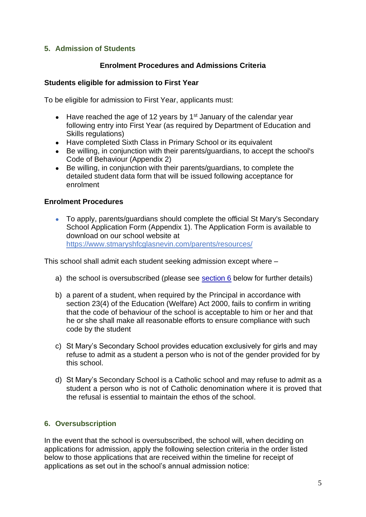# **5. Admission of Students**

### **Enrolment Procedures and Admissions Criteria**

#### **Students eligible for admission to First Year**

To be eligible for admission to First Year, applicants must:

- Have reached the age of 12 years by  $1<sup>st</sup>$  January of the calendar year following entry into First Year (as required by Department of Education and Skills regulations)
- Have completed Sixth Class in Primary School or its equivalent
- Be willing, in conjunction with their parents/guardians, to accept the school's Code of Behaviour (Appendix 2)
- Be willing, in conjunction with their parents/guardians, to complete the detailed student data form that will be issued following acceptance for enrolment

### **Enrolment Procedures**

● To apply, parents/quardians should complete the official St Mary's Secondary School Application Form (Appendix 1). The Application Form is available to download on our school website at <https://www.stmaryshfcglasnevin.com/parents/resources/>

This school shall admit each student seeking admission except where –

- a) the school is oversubscribed (please see [section 6](#page-4-0) below for further details)
- b) a parent of a student, when required by the Principal in accordance with section 23(4) of the Education (Welfare) Act 2000, fails to confirm in writing that the code of behaviour of the school is acceptable to him or her and that he or she shall make all reasonable efforts to ensure compliance with such code by the student
- c) St Mary's Secondary School provides education exclusively for girls and may refuse to admit as a student a person who is not of the gender provided for by this school.
- d) St Mary's Secondary School is a Catholic school and may refuse to admit as a student a person who is not of Catholic denomination where it is proved that the refusal is essential to maintain the ethos of the school.

## <span id="page-4-0"></span>**6. Oversubscription**

In the event that the school is oversubscribed, the school will, when deciding on applications for admission, apply the following selection criteria in the order listed below to those applications that are received within the timeline for receipt of applications as set out in the school's annual admission notice: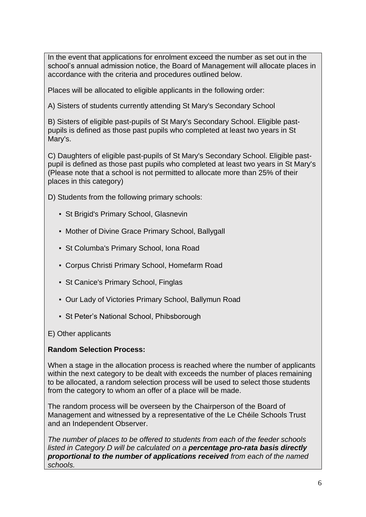In the event that applications for enrolment exceed the number as set out in the school's annual admission notice, the Board of Management will allocate places in accordance with the criteria and procedures outlined below.

Places will be allocated to eligible applicants in the following order:

A) Sisters of students currently attending St Mary's Secondary School

B) Sisters of eligible past-pupils of St Mary's Secondary School. Eligible pastpupils is defined as those past pupils who completed at least two years in St Mary's.

C) Daughters of eligible past-pupils of St Mary's Secondary School. Eligible pastpupil is defined as those past pupils who completed at least two years in St Mary's (Please note that a school is not permitted to allocate more than 25% of their places in this category)

- D) Students from the following primary schools:
	- St Brigid's Primary School, Glasnevin
	- Mother of Divine Grace Primary School, Ballygall
	- St Columba's Primary School, Iona Road
	- Corpus Christi Primary School, Homefarm Road
	- St Canice's Primary School, Finglas
	- Our Lady of Victories Primary School, Ballymun Road
	- St Peter's National School, Phibsborough
- E) Other applicants

## **Random Selection Process:**

When a stage in the allocation process is reached where the number of applicants within the next category to be dealt with exceeds the number of places remaining to be allocated, a random selection process will be used to select those students from the category to whom an offer of a place will be made.

The random process will be overseen by the Chairperson of the Board of Management and witnessed by a representative of the Le Chéile Schools Trust and an Independent Observer.

*The number of places to be offered to students from each of the feeder schools listed in Category D will be calculated on a percentage pro-rata basis directly proportional to the number of applications received from each of the named schools.*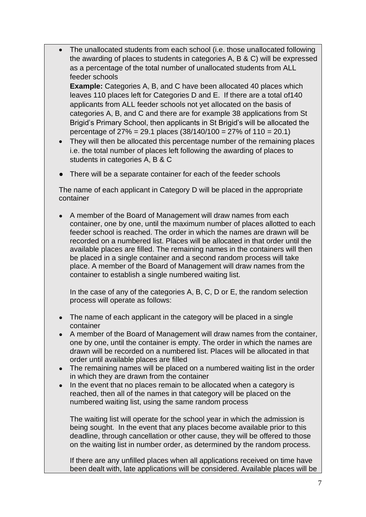- The unallocated students from each school (i.e. those unallocated following the awarding of places to students in categories A, B & C) will be expressed as a percentage of the total number of unallocated students from ALL feeder schools **Example:** Categories A, B, and C have been allocated 40 places which leaves 110 places left for Categories D and E. If there are a total of140 applicants from ALL feeder schools not yet allocated on the basis of categories A, B, and C and there are for example 38 applications from St Brigid's Primary School, then applicants in St Brigid's will be allocated the
	- percentage of 27% = 29.1 places (38/140/100 = 27% of 110 = 20.1) • They will then be allocated this percentage number of the remaining places
	- i.e. the total number of places left following the awarding of places to students in categories A, B & C
- There will be a separate container for each of the feeder schools

The name of each applicant in Category D will be placed in the appropriate container

• A member of the Board of Management will draw names from each container, one by one, until the maximum number of places allotted to each feeder school is reached. The order in which the names are drawn will be recorded on a numbered list. Places will be allocated in that order until the available places are filled. The remaining names in the containers will then be placed in a single container and a second random process will take place. A member of the Board of Management will draw names from the container to establish a single numbered waiting list.

In the case of any of the categories A, B, C, D or E, the random selection process will operate as follows:

- The name of each applicant in the category will be placed in a single container
- A member of the Board of Management will draw names from the container, one by one, until the container is empty. The order in which the names are drawn will be recorded on a numbered list. Places will be allocated in that order until available places are filled
- The remaining names will be placed on a numbered waiting list in the order in which they are drawn from the container
- In the event that no places remain to be allocated when a category is reached, then all of the names in that category will be placed on the numbered waiting list, using the same random process

The waiting list will operate for the school year in which the admission is being sought. In the event that any places become available prior to this deadline, through cancellation or other cause, they will be offered to those on the waiting list in number order, as determined by the random process.

If there are any unfilled places when all applications received on time have been dealt with, late applications will be considered. Available places will be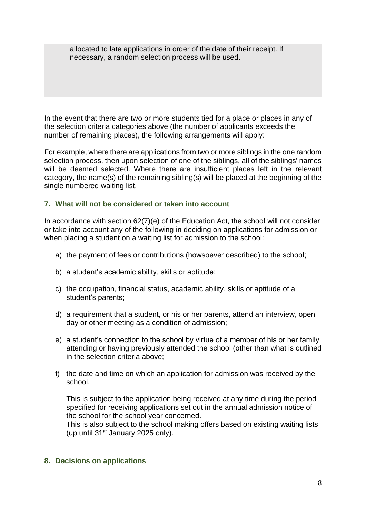allocated to late applications in order of the date of their receipt. If necessary, a random selection process will be used.

In the event that there are two or more students tied for a place or places in any of the selection criteria categories above (the number of applicants exceeds the number of remaining places), the following arrangements will apply:

For example, where there are applications from two or more siblings in the one random selection process, then upon selection of one of the siblings, all of the siblings' names will be deemed selected. Where there are insufficient places left in the relevant category, the name(s) of the remaining sibling(s) will be placed at the beginning of the single numbered waiting list.

## **7. What will not be considered or taken into account**

In accordance with section 62(7)(e) of the Education Act, the school will not consider or take into account any of the following in deciding on applications for admission or when placing a student on a waiting list for admission to the school:

- a) the payment of fees or contributions (howsoever described) to the school;
- b) a student's academic ability, skills or aptitude;
- c) the occupation, financial status, academic ability, skills or aptitude of a student's parents;
- d) a requirement that a student, or his or her parents, attend an interview, open day or other meeting as a condition of admission;
- e) a student's connection to the school by virtue of a member of his or her family attending or having previously attended the school (other than what is outlined in the selection criteria above;
- f) the date and time on which an application for admission was received by the school,

This is subject to the application being received at any time during the period specified for receiving applications set out in the annual admission notice of the school for the school year concerned.

This is also subject to the school making offers based on existing waiting lists (up until  $31<sup>st</sup>$  January 2025 only).

#### **8. Decisions on applications**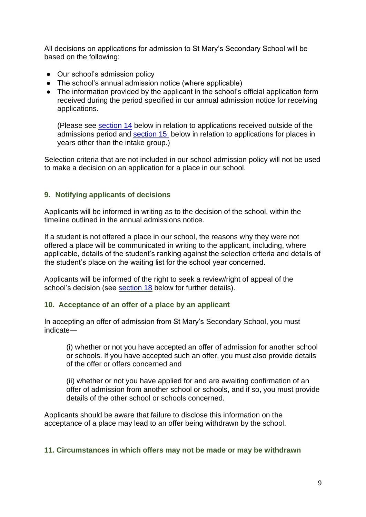All decisions on applications for admission to St Mary's Secondary School will be based on the following:

- Our school's admission policy
- The school's annual admission notice (where applicable)
- The information provided by the applicant in the school's official application form received during the period specified in our annual admission notice for receiving applications.

(Please see [section 14](#page-10-0) below in relation to applications received outside of the admissions period and [section 15](#page-13-0) below in relation to applications for places in years other than the intake group.)

Selection criteria that are not included in our school admission policy will not be used to make a decision on an application for a place in our school.

## **9. Notifying applicants of decisions**

Applicants will be informed in writing as to the decision of the school, within the timeline outlined in the annual admissions notice.

If a student is not offered a place in our school, the reasons why they were not offered a place will be communicated in writing to the applicant, including, where applicable, details of the student's ranking against the selection criteria and details of the student's place on the waiting list for the school year concerned.

Applicants will be informed of the right to seek a review/right of appeal of the school's decision (see [section 18](#page-13-1) below for further details).

## **10. Acceptance of an offer of a place by an applicant**

In accepting an offer of admission from St Mary's Secondary School, you must indicate—

<span id="page-8-0"></span>(i) whether or not you have accepted an offer of admission for another school or schools. If you have accepted such an offer, you must also provide details of the offer or offers concerned and

(ii) whether or not you have applied for and are awaiting confirmation of an offer of admission from another school or schools, and if so, you must provide details of the other school or schools concerned.

Applicants should be aware that failure to disclose this information on the acceptance of a place may lead to an offer being withdrawn by the school.

## **11. Circumstances in which offers may not be made or may be withdrawn**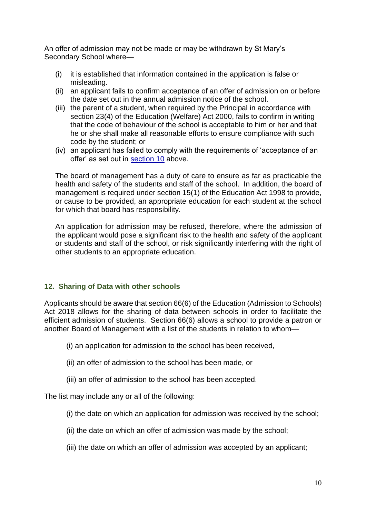An offer of admission may not be made or may be withdrawn by St Mary's Secondary School where—

- (i) it is established that information contained in the application is false or misleading.
- (ii) an applicant fails to confirm acceptance of an offer of admission on or before the date set out in the annual admission notice of the school.
- (iii) the parent of a student, when required by the Principal in accordance with section 23(4) of the Education (Welfare) Act 2000, fails to confirm in writing that the code of behaviour of the school is acceptable to him or her and that he or she shall make all reasonable efforts to ensure compliance with such code by the student; or
- (iv) an applicant has failed to comply with the requirements of 'acceptance of an offer' as set out in [section 10](#page-8-0) above.

The board of management has a duty of care to ensure as far as practicable the health and safety of the students and staff of the school. In addition, the board of management is required under section 15(1) of the Education Act 1998 to provide, or cause to be provided, an appropriate education for each student at the school for which that board has responsibility.

An application for admission may be refused, therefore, where the admission of the applicant would pose a significant risk to the health and safety of the applicant or students and staff of the school, or risk significantly interfering with the right of other students to an appropriate education.

#### **12. Sharing of Data with other schools**

Applicants should be aware that section 66(6) of the Education (Admission to Schools) Act 2018 allows for the sharing of data between schools in order to facilitate the efficient admission of students. Section 66(6) allows a school to provide a patron or another Board of Management with a list of the students in relation to whom—

- (i) an application for admission to the school has been received,
- (ii) an offer of admission to the school has been made, or
- (iii) an offer of admission to the school has been accepted.

The list may include any or all of the following:

- (i) the date on which an application for admission was received by the school;
- (ii) the date on which an offer of admission was made by the school;
- (iii) the date on which an offer of admission was accepted by an applicant;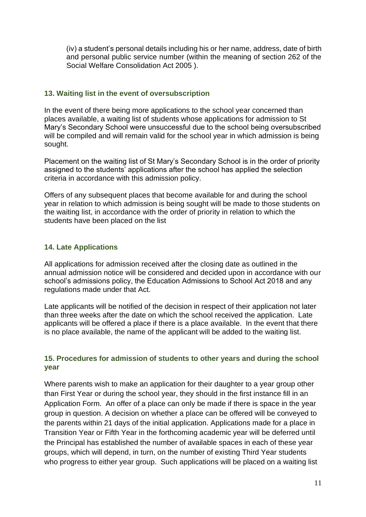(iv) a student's personal details including his or her name, address, date of birth and personal public service number (within the meaning of section 262 of the Social Welfare Consolidation Act 2005 ).

### **13. Waiting list in the event of oversubscription**

In the event of there being more applications to the school year concerned than places available, a waiting list of students whose applications for admission to St Mary's Secondary School were unsuccessful due to the school being oversubscribed will be compiled and will remain valid for the school year in which admission is being sought.

Placement on the waiting list of St Mary's Secondary School is in the order of priority assigned to the students' applications after the school has applied the selection criteria in accordance with this admission policy.

Offers of any subsequent places that become available for and during the school year in relation to which admission is being sought will be made to those students on the waiting list, in accordance with the order of priority in relation to which the students have been placed on the list

### **14. Late Applications**

All applications for admission received after the closing date as outlined in the annual admission notice will be considered and decided upon in accordance with our school's admissions policy, the Education Admissions to School Act 2018 and any regulations made under that Act.

Late applicants will be notified of the decision in respect of their application not later than three weeks after the date on which the school received the application. Late applicants will be offered a place if there is a place available. In the event that there is no place available, the name of the applicant will be added to the waiting list.

### <span id="page-10-0"></span>**15. Procedures for admission of students to other years and during the school year**

Where parents wish to make an application for their daughter to a year group other than First Year or during the school year, they should in the first instance fill in an Application Form. An offer of a place can only be made if there is space in the year group in question. A decision on whether a place can be offered will be conveyed to the parents within 21 days of the initial application. Applications made for a place in Transition Year or Fifth Year in the forthcoming academic year will be deferred until the Principal has established the number of available spaces in each of these year groups, which will depend, in turn, on the number of existing Third Year students who progress to either year group. Such applications will be placed on a waiting list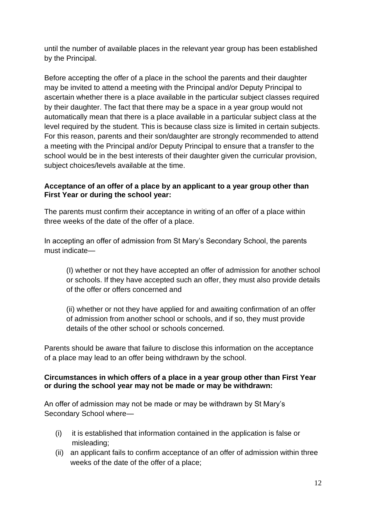until the number of available places in the relevant year group has been established by the Principal.

Before accepting the offer of a place in the school the parents and their daughter may be invited to attend a meeting with the Principal and/or Deputy Principal to ascertain whether there is a place available in the particular subject classes required by their daughter. The fact that there may be a space in a year group would not automatically mean that there is a place available in a particular subject class at the level required by the student. This is because class size is limited in certain subjects. For this reason, parents and their son/daughter are strongly recommended to attend a meeting with the Principal and/or Deputy Principal to ensure that a transfer to the school would be in the best interests of their daughter given the curricular provision, subject choices/levels available at the time.

# **Acceptance of an offer of a place by an applicant to a year group other than First Year or during the school year:**

The parents must confirm their acceptance in writing of an offer of a place within three weeks of the date of the offer of a place.

In accepting an offer of admission from St Mary's Secondary School, the parents must indicate—

(I) whether or not they have accepted an offer of admission for another school or schools. If they have accepted such an offer, they must also provide details of the offer or offers concerned and

(ii) whether or not they have applied for and awaiting confirmation of an offer of admission from another school or schools, and if so, they must provide details of the other school or schools concerned.

Parents should be aware that failure to disclose this information on the acceptance of a place may lead to an offer being withdrawn by the school.

### **Circumstances in which offers of a place in a year group other than First Year or during the school year may not be made or may be withdrawn:**

An offer of admission may not be made or may be withdrawn by St Mary's Secondary School where—

- (i) it is established that information contained in the application is false or misleading;
- (ii) an applicant fails to confirm acceptance of an offer of admission within three weeks of the date of the offer of a place;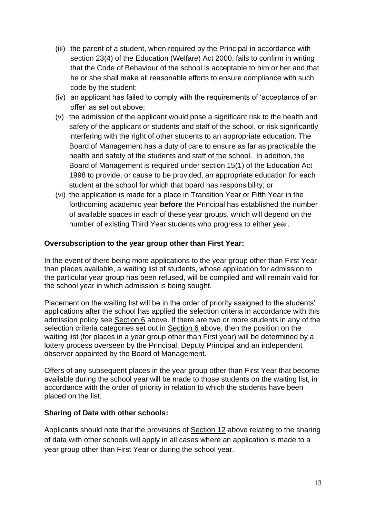- (iii) the parent of a student, when required by the Principal in accordance with section 23(4) of the Education (Welfare) Act 2000, fails to confirm in writing that the Code of Behaviour of the school is acceptable to him or her and that he or she shall make all reasonable efforts to ensure compliance with such code by the student;
- (iv) an applicant has failed to comply with the requirements of 'acceptance of an offer' as set out above;
- (v) the admission of the applicant would pose a significant risk to the health and safety of the applicant or students and staff of the school, or risk significantly interfering with the right of other students to an appropriate education. The Board of Management has a duty of care to ensure as far as practicable the health and safety of the students and staff of the school. In addition, the Board of Management is required under section 15(1) of the Education Act 1998 to provide, or cause to be provided, an appropriate education for each student at the school for which that board has responsibility; or
- (vi) the application is made for a place in Transition Year or Fifth Year in the forthcoming academic year **before** the Principal has established the number of available spaces in each of these year groups, which will depend on the number of existing Third Year students who progress to either year.

### **Oversubscription to the year group other than First Year:**

In the event of there being more applications to the year group other than First Year than places available, a waiting list of students, whose application for admission to the particular year group has been refused, will be compiled and will remain valid for the school year in which admission is being sought.

Placement on the waiting list will be in the order of priority assigned to the students' applications after the school has applied the selection criteria in accordance with this admission policy see Section 6 above. If there are two or more students in any of the selection criteria categories set out in Section 6 above, then the position on the waiting list (for places in a year group other than First year) will be determined by a lottery process overseen by the Principal, Deputy Principal and an independent observer appointed by the Board of Management.

Offers of any subsequent places in the year group other than First Year that become available during the school year will be made to those students on the waiting list, in accordance with the order of priority in relation to which the students have been placed on the list.

#### **Sharing of Data with other schools:**

Applicants should note that the provisions of Section 12 above relating to the sharing of data with other schools will apply in all cases where an application is made to a year group other than First Year or during the school year.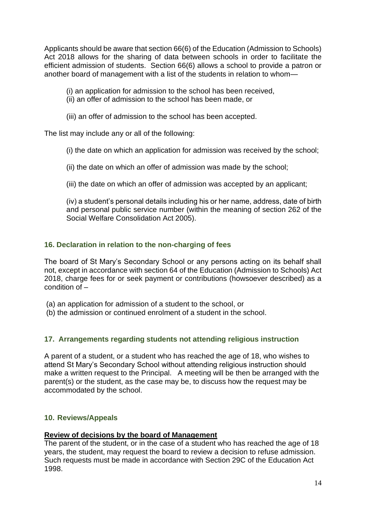Applicants should be aware that section 66(6) of the Education (Admission to Schools) Act 2018 allows for the sharing of data between schools in order to facilitate the efficient admission of students. Section 66(6) allows a school to provide a patron or another board of management with a list of the students in relation to whom—

(i) an application for admission to the school has been received,

- (ii) an offer of admission to the school has been made, or
- (iii) an offer of admission to the school has been accepted.

The list may include any or all of the following:

- (i) the date on which an application for admission was received by the school;
- (ii) the date on which an offer of admission was made by the school;
- (iii) the date on which an offer of admission was accepted by an applicant;

(iv) a student's personal details including his or her name, address, date of birth and personal public service number (within the meaning of section 262 of the Social Welfare Consolidation Act 2005).

## <span id="page-13-0"></span>**16. Declaration in relation to the non-charging of fees**

The board of St Mary's Secondary School or any persons acting on its behalf shall not, except in accordance with section 64 of the Education (Admission to Schools) Act 2018, charge fees for or seek payment or contributions (howsoever described) as a condition of –

(a) an application for admission of a student to the school, or

(b) the admission or continued enrolment of a student in the school.

## **17. Arrangements regarding students not attending religious instruction**

<span id="page-13-1"></span>A parent of a student, or a student who has reached the age of 18, who wishes to attend St Mary's Secondary School without attending religious instruction should make a written request to the Principal. A meeting will be then be arranged with the parent(s) or the student, as the case may be, to discuss how the request may be accommodated by the school.

## **10. Reviews/Appeals**

#### **Review of decisions by the board of Management**

The parent of the student, or in the case of a student who has reached the age of 18 years, the student, may request the board to review a decision to refuse admission. Such requests must be made in accordance with Section 29C of the Education Act 1998.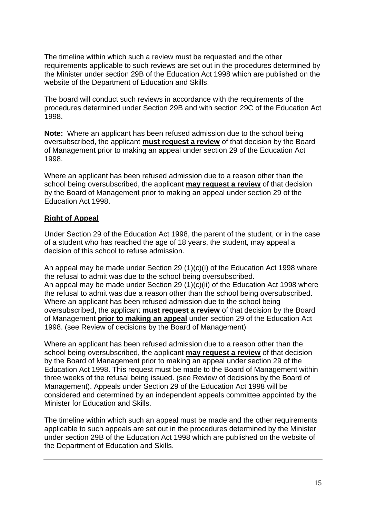The timeline within which such a review must be requested and the other requirements applicable to such reviews are set out in the procedures determined by the Minister under section 29B of the Education Act 1998 which are published on the website of the Department of Education and Skills.

The board will conduct such reviews in accordance with the requirements of the procedures determined under Section 29B and with section 29C of the Education Act 1998.

**Note:** Where an applicant has been refused admission due to the school being oversubscribed, the applicant **must request a review** of that decision by the Board of Management prior to making an appeal under section 29 of the Education Act 1998.

Where an applicant has been refused admission due to a reason other than the school being oversubscribed, the applicant **may request a review** of that decision by the Board of Management prior to making an appeal under section 29 of the Education Act 1998.

# **Right of Appeal**

Under Section 29 of the Education Act 1998, the parent of the student, or in the case of a student who has reached the age of 18 years, the student, may appeal a decision of this school to refuse admission.

An appeal may be made under Section 29 (1)(c)(i) of the Education Act 1998 where the refusal to admit was due to the school being oversubscribed. An appeal may be made under Section 29 (1)(c)(ii) of the Education Act 1998 where the refusal to admit was due a reason other than the school being oversubscribed. Where an applicant has been refused admission due to the school being oversubscribed, the applicant **must request a review** of that decision by the Board of Management **prior to making an appeal** under section 29 of the Education Act 1998. (see Review of decisions by the Board of Management)

Where an applicant has been refused admission due to a reason other than the school being oversubscribed, the applicant **may request a review** of that decision by the Board of Management prior to making an appeal under section 29 of the Education Act 1998. This request must be made to the Board of Management within three weeks of the refusal being issued. (see Review of decisions by the Board of Management). Appeals under Section 29 of the Education Act 1998 will be considered and determined by an independent appeals committee appointed by the Minister for Education and Skills.

The timeline within which such an appeal must be made and the other requirements applicable to such appeals are set out in the procedures determined by the Minister under section 29B of the Education Act 1998 which are published on the website of the Department of Education and Skills.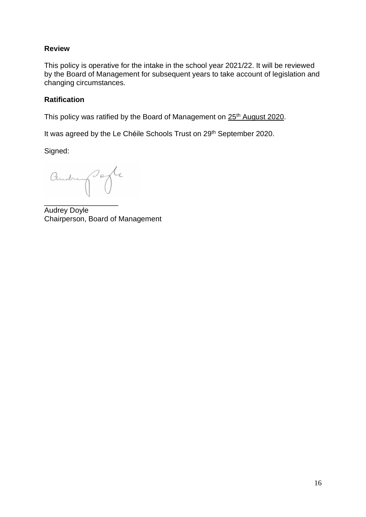## **Review**

This policy is operative for the intake in the school year 2021/22. It will be reviewed by the Board of Management for subsequent years to take account of legislation and changing circumstances.

# **Ratification**

This policy was ratified by the Board of Management on 25<sup>th</sup> August 2020.

It was agreed by the Le Chéile Schools Trust on 29<sup>th</sup> September 2020.

Signed:

andre porte

\_\_\_\_\_\_\_\_\_\_\_\_\_\_\_\_\_\_ Audrey Doyle Chairperson, Board of Management